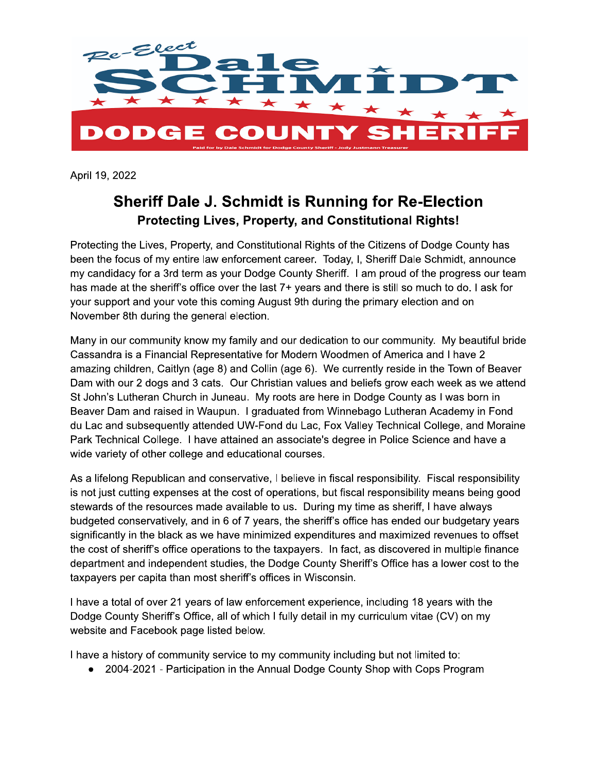

April 19, 2022

## **Sheriff Dale J. Schmidt is Running for Re-Election Protecting Lives, Property, and Constitutional Rights!**

Protecting the Lives, Property, and Constitutional Rights of the Citizens of Dodge County has been the focus of my entire law enforcement career. Today, I, Sheriff Dale Schmidt, announce my candidacy for a 3rd term as your Dodge County Sheriff. I am proud of the progress our team has made at the sheriff's office over the last 7+ years and there is still so much to do. I ask for your support and your vote this coming August 9th during the primary election and on November 8th during the general election.

Many in our community know my family and our dedication to our community. My beautiful bride Cassandra is a Financial Representative for Modern Woodmen of America and I have 2 amazing children, Caitlyn (age 8) and Collin (age 6). We currently reside in the Town of Beaver Dam with our 2 dogs and 3 cats. Our Christian values and beliefs grow each week as we attend St John's Lutheran Church in Juneau. My roots are here in Dodge County as I was born in Beaver Dam and raised in Waupun. I graduated from Winnebago Lutheran Academy in Fond du Lac and subsequently attended UW-Fond du Lac, Fox Valley Technical College, and Moraine Park Technical College. I have attained an associate's degree in Police Science and have a wide variety of other college and educational courses.

As a lifelong Republican and conservative, I believe in fiscal responsibility. Fiscal responsibility is not just cutting expenses at the cost of operations, but fiscal responsibility means being good stewards of the resources made available to us. During my time as sheriff, I have always budgeted conservatively, and in 6 of 7 years, the sheriff's office has ended our budgetary years significantly in the black as we have minimized expenditures and maximized revenues to offset the cost of sheriff's office operations to the taxpayers. In fact, as discovered in multiple finance department and independent studies, the Dodge County Sheriff's Office has a lower cost to the taxpayers per capita than most sheriff's offices in Wisconsin.

I have a total of over 21 years of law enforcement experience, including 18 years with the Dodge County Sheriff's Office, all of which I fully detail in my curriculum vitae (CV) on my website and Facebook page listed below.

I have a history of community service to my community including but not limited to:

• 2004-2021 - Participation in the Annual Dodge County Shop with Cops Program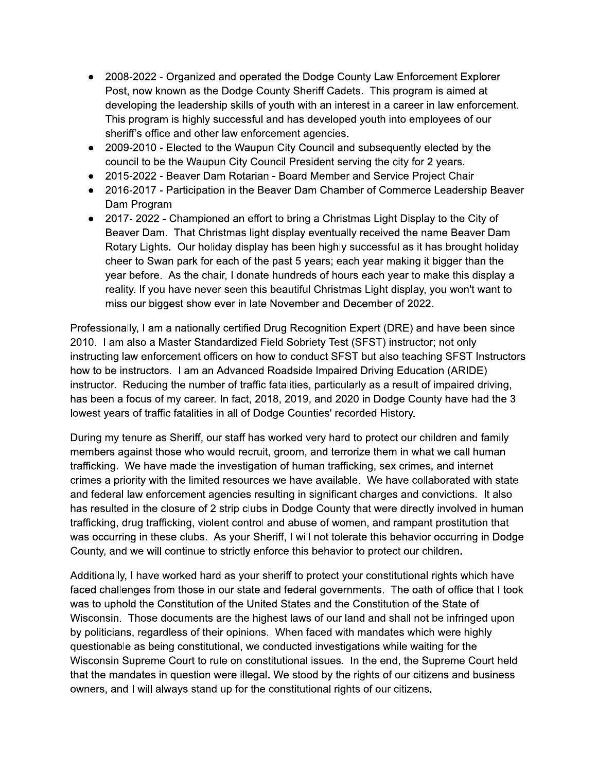- 2008-2022 Organized and operated the Dodge County Law Enforcement Explorer Post, now known as the Dodge County Sheriff Cadets. This program is aimed at developing the leadership skills of youth with an interest in a career in law enforcement. This program is highly successful and has developed youth into employees of our sheriff's office and other law enforcement agencies.
- 2009-2010 Elected to the Waupun City Council and subsequently elected by the council to be the Waupun City Council President serving the city for 2 years.
- 2015-2022 Beaver Dam Rotarian Board Member and Service Project Chair
- 2016-2017 Participation in the Beaver Dam Chamber of Commerce Leadership Beaver Dam Program
- 2017-2022 Championed an effort to bring a Christmas Light Display to the City of Beaver Dam. That Christmas light display eventually received the name Beaver Dam Rotary Lights. Our holiday display has been highly successful as it has brought holiday cheer to Swan park for each of the past 5 years; each year making it bigger than the year before. As the chair, I donate hundreds of hours each year to make this display a reality. If you have never seen this beautiful Christmas Light display, you won't want to miss our biggest show ever in late November and December of 2022.

Professionally, I am a nationally certified Drug Recognition Expert (DRE) and have been since 2010. I am also a Master Standardized Field Sobriety Test (SFST) instructor; not only instructing law enforcement officers on how to conduct SFST but also teaching SFST Instructors how to be instructors. I am an Advanced Roadside Impaired Driving Education (ARIDE) instructor. Reducing the number of traffic fatalities, particularly as a result of impaired driving, has been a focus of my career. In fact, 2018, 2019, and 2020 in Dodge County have had the 3 lowest years of traffic fatalities in all of Dodge Counties' recorded History.

During my tenure as Sheriff, our staff has worked very hard to protect our children and family members against those who would recruit, groom, and terrorize them in what we call human trafficking. We have made the investigation of human trafficking, sex crimes, and internet crimes a priority with the limited resources we have available. We have collaborated with state and federal law enforcement agencies resulting in significant charges and convictions. It also has resulted in the closure of 2 strip clubs in Dodge County that were directly involved in human trafficking, drug trafficking, violent control and abuse of women, and rampant prostitution that was occurring in these clubs. As your Sheriff, I will not tolerate this behavior occurring in Dodge County, and we will continue to strictly enforce this behavior to protect our children.

Additionally, I have worked hard as your sheriff to protect your constitutional rights which have faced challenges from those in our state and federal governments. The oath of office that I took was to uphold the Constitution of the United States and the Constitution of the State of Wisconsin. Those documents are the highest laws of our land and shall not be infringed upon by politicians, regardless of their opinions. When faced with mandates which were highly questionable as being constitutional, we conducted investigations while waiting for the Wisconsin Supreme Court to rule on constitutional issues. In the end, the Supreme Court held that the mandates in question were illegal. We stood by the rights of our citizens and business owners, and I will always stand up for the constitutional rights of our citizens.